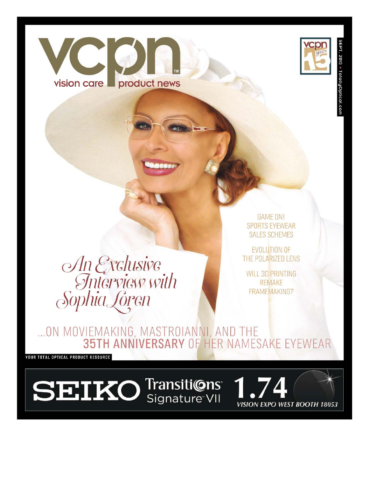

An Exclusive<br>Interview with<br>Sophia Loren

**GAME ON! SPORTS EYEWEAR SALES SCHEMES** 

**EVOLUTION OF** THE POLARIZED LENS

**WILL 3D PRINTING REMAKE FRAMEMAKING?** 

... ON MOVIEMAKING, MASTROIANNI, AND THE<br>35TH ANNIVERSARY OF HER NAMESAKE EYEWEAR

**YOUR TOTAL OPTICAL PRODUCT RESOURCE** 

vision care

product news

**SEIKO** Transitions Signature<sup>VII</sup>

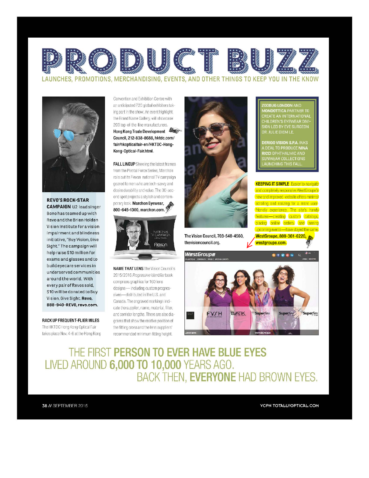

LAUNCHES, PROMOTIONS, MERCHANDISING, EVENTS, AND OTHER THINGS TO KEEP YOU IN THE KNOW



**CAMPAIGN** U2 lead singer Bono has teamed up with

Revo and the Brien Holden Vision Institute for a vision impairment and blindness initiative, "Buy Vision, Give Sight." The campaign will help raise \$10 million for exams and glasses and to build eyecare services in underserved communities around the world. With every pair of Revos sold, \$10 will be donated to Buy Vision, Give Sight. Revo, 888-940-REVO, revo.com.

RACK UP FREQUENT-FLIER MILES

The HKTDC Hong Kong Optical Fair takes place Nov. 4-6 at the Hong Kong Convention and Exhibition Centre with an anticipated 720 global exhibitors taking part in the show. An event highlight, the Brand Name Gallery, will showcase 200 top-of-the-line manufacturers. Hong Kong Trade Development Council, 212-838-8688, hktdc.com/ fair/hkopticalfair-en/HKTDC-Hong-Kong-Optical-Fair.html.

**FALL LINEUP** Showing the latest frames from the Pivotal Force Series, Marchon rolls out its Flexon national TV campaign geared to men who are tech-savvy and desire durability and value. The 30-second spot projects a stylish and contemporary look. Marchon Eyewear, 800-645-1300, marchon.com.



**NAME THAT LENS** The Vision Council's 2015/2016 Progressive Identifier book comprises graphics for 160 lens designs-including custom progressives-distributed in the U.S. and Canada. The engraved markings indicate the supplier, name, material, filter, and corridor lengths. There are also diagrams that show the relative position of the fitting cross and the lens suppliers' recommended minimum fitting height.



The Vision Council, 703-548-4560, thevisioncouncil.org.

**WEStGroupE** 



**DERIGO VISION S.P.A. INKS DEAL TO PRODUCE NINA** .....<br>SUNWEAR COLLECTIONS **AUNCHING THIS FALL** 

**KEEPING IT SIMPLE** Easier to navigate and completely responsive, WestGroupe's new and improved website offers minimal scrolling and resizing for a more userfriendly experience. The site's handy features-creating custom catalogs, placing online orders, and seeing upcoming events-have stayed the same. WestGroupe, 800-361-6220, westgroupe.com.



THE FIRST PERSON TO EVER HAVE BLUE EYES LIVED AROUND 6,000 TO 10,000 YEARS AGO. BACK THEN, EVERYONE HAD BROWN EYES.

38 // SEPTEMBER 2015

**VCPN TOTALLYOPTICAL COM**